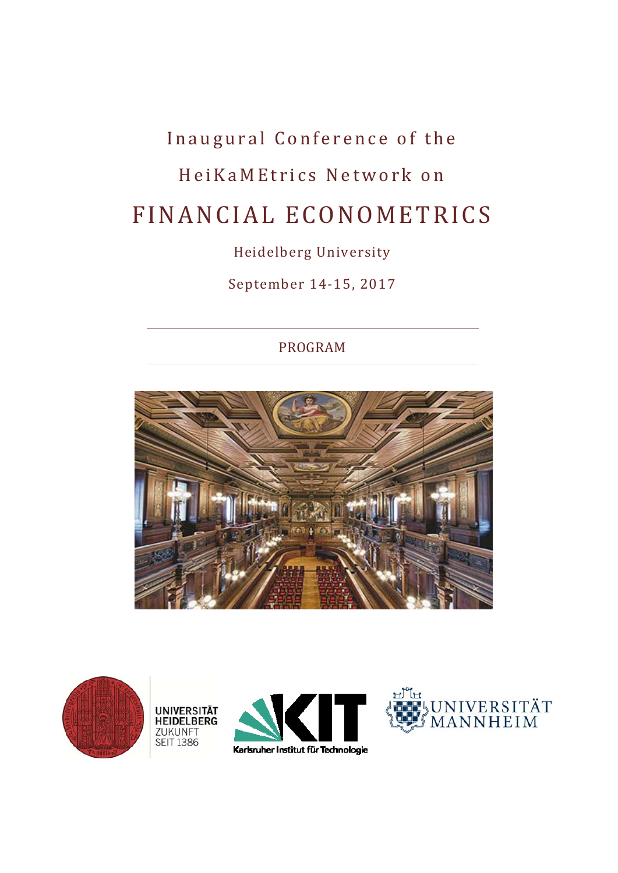# Inaugural Conference of the HeiKaMEtrics Network on FINANCIAL ECONOMETRICS

# Heidelberg University

September 14-15, 2017

# PROGRAM



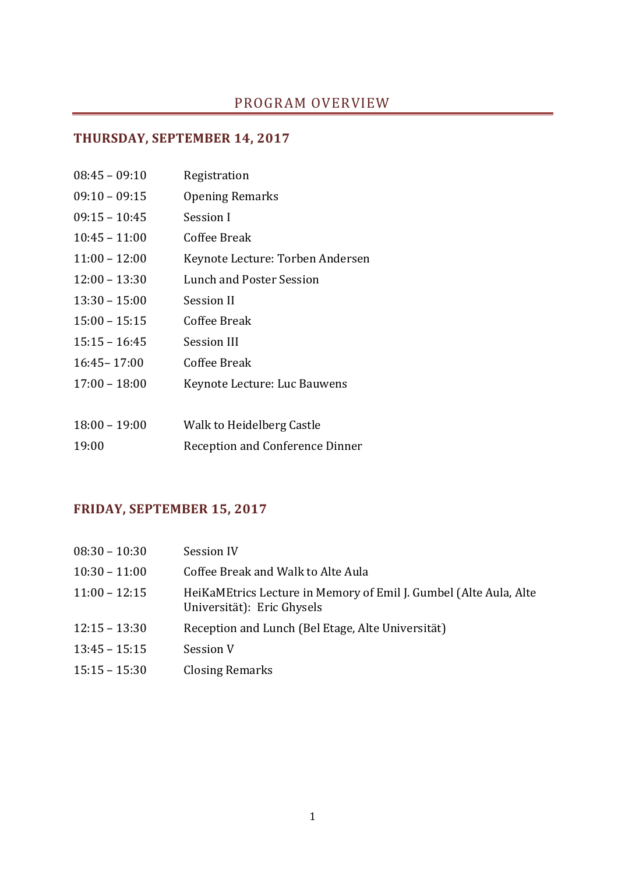# PROGRAM OVERVIEW

## **THURSDAY, SEPTEMBER 14, 2017**

| $08:45 - 09:10$ | Registration                     |
|-----------------|----------------------------------|
| $09:10 - 09:15$ | <b>Opening Remarks</b>           |
| $09:15 - 10:45$ | Session I                        |
| $10:45 - 11:00$ | Coffee Break                     |
| $11:00 - 12:00$ | Keynote Lecture: Torben Andersen |
| $12:00 - 13:30$ | Lunch and Poster Session         |
| $13:30 - 15:00$ | Session II                       |
| $15:00 - 15:15$ | Coffee Break                     |
| $15:15 - 16:45$ | Session III                      |
| $16:45 - 17:00$ | Coffee Break                     |
| $17:00 - 18:00$ | Keynote Lecture: Luc Bauwens     |
|                 |                                  |
| $18:00 - 19:00$ | Walk to Heidelberg Castle        |
| 19:00           | Reception and Conference Dinner  |

# **FRIDAY, SEPTEMBER 15, 2017**

| $08:30 - 10:30$ | Session IV                                                                                      |
|-----------------|-------------------------------------------------------------------------------------------------|
| $10:30 - 11:00$ | Coffee Break and Walk to Alte Aula                                                              |
| $11:00 - 12:15$ | HeiKaMEtrics Lecture in Memory of Emil J. Gumbel (Alte Aula, Alte<br>Universität): Eric Ghysels |
| $12:15 - 13:30$ | Reception and Lunch (Bel Etage, Alte Universität)                                               |
| $13:45 - 15:15$ | Session V                                                                                       |
| $15:15 - 15:30$ | <b>Closing Remarks</b>                                                                          |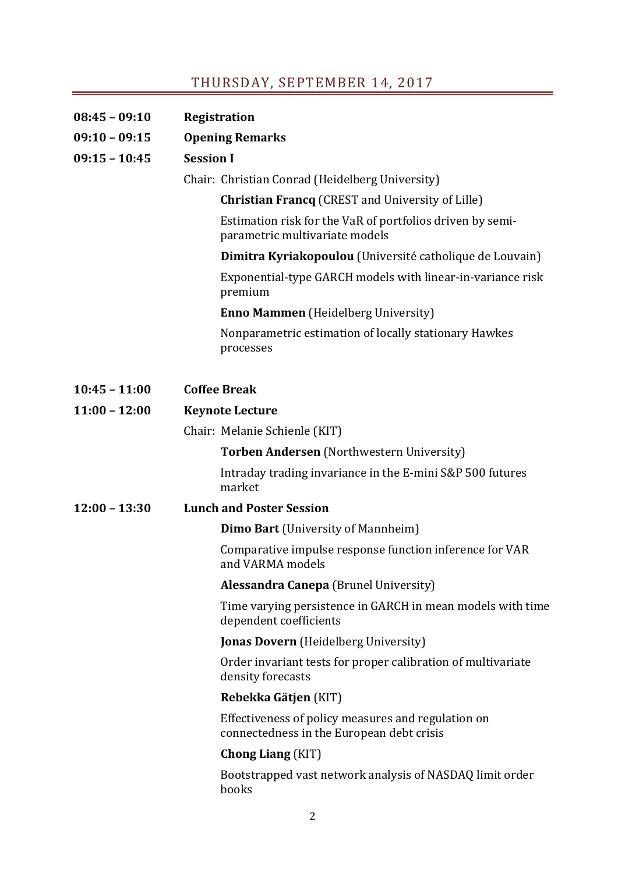# THURSDAY, SEPTEMBER 14, 2017

| 08:45 - 09:10   | <b>Registration</b>                                                                             |
|-----------------|-------------------------------------------------------------------------------------------------|
| $09:10 - 09:15$ | <b>Opening Remarks</b>                                                                          |
| $09:15 - 10:45$ | <b>Session I</b>                                                                                |
|                 | Chair: Christian Conrad (Heidelberg University)                                                 |
|                 | <b>Christian Francq</b> (CREST and University of Lille)                                         |
|                 | Estimation risk for the VaR of portfolios driven by semi-<br>parametric multivariate models     |
|                 | Dimitra Kyriakopoulou (Université catholique de Louvain)                                        |
|                 | Exponential-type GARCH models with linear-in-variance risk<br>premium                           |
|                 | <b>Enno Mammen</b> (Heidelberg University)                                                      |
|                 | Nonparametric estimation of locally stationary Hawkes<br>processes                              |
| $10:45 - 11:00$ | <b>Coffee Break</b>                                                                             |
| $11:00 - 12:00$ | <b>Keynote Lecture</b>                                                                          |
|                 | Chair: Melanie Schienle (KIT)                                                                   |
|                 | <b>Torben Andersen</b> (Northwestern University)                                                |
|                 | Intraday trading invariance in the E-mini S&P 500 futures<br>market                             |
| $12:00 - 13:30$ | <b>Lunch and Poster Session</b>                                                                 |
|                 | <b>Dimo Bart</b> (University of Mannheim)                                                       |
|                 | Comparative impulse response function inference for VAR<br>and VARMA models                     |
|                 | <b>Alessandra Canepa</b> (Brunel University)                                                    |
|                 | Time varying persistence in GARCH in mean models with time<br>dependent coefficients            |
|                 | <b>Jonas Dovern</b> (Heidelberg University)                                                     |
|                 | Order invariant tests for proper calibration of multivariate<br>density forecasts               |
|                 | Rebekka Gätjen (KIT)                                                                            |
|                 | Effectiveness of policy measures and regulation on<br>connectedness in the European debt crisis |
|                 | <b>Chong Liang (KIT)</b>                                                                        |
|                 | Bootstrapped vast network analysis of NASDAQ limit order<br>books                               |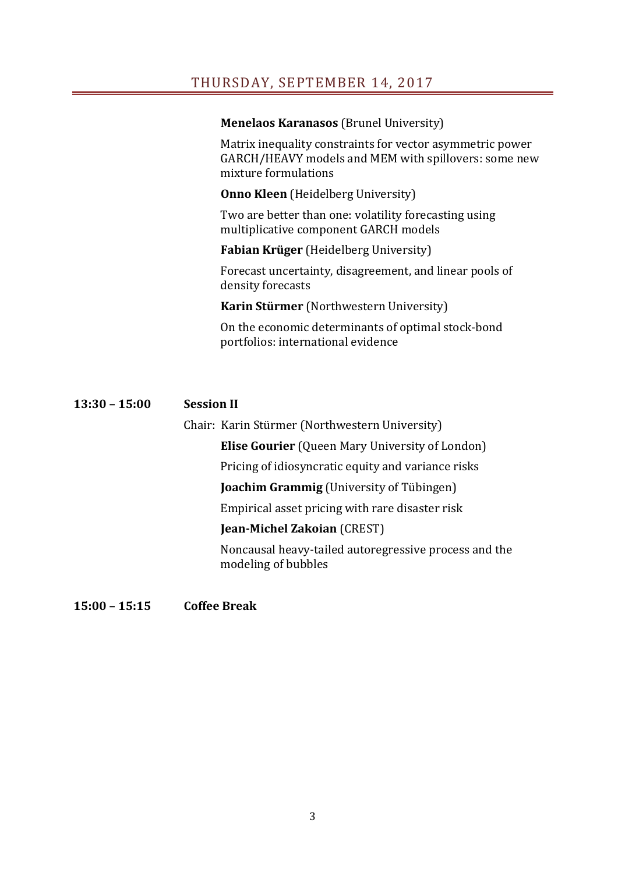### THURSDAY, SEPTEMBER 14, 2017

#### **Menelaos Karanasos** (Brunel University)

Matrix inequality constraints for vector asymmetric power GARCH/HEAVY models and MEM with spillovers: some new mixture formulations

**Onno Kleen** (Heidelberg University)

Two are better than one: volatility forecasting using multiplicative component GARCH models

### **Fabian Krüger** (Heidelberg University)

Forecast uncertainty, disagreement, and linear pools of density forecasts

**Karin Stürmer** (Northwestern University)

On the economic determinants of optimal stock-bond portfolios: international evidence

### **13:30 – 15:00 Session II**

Chair: Karin Stürmer (Northwestern University)

**Elise Gourier** (Queen Mary University of London)

Pricing of idiosyncratic equity and variance risks

**Joachim Grammig** (University of Tübingen)

Empirical asset pricing with rare disaster risk

### **Jean‐Michel Zakoian** (CREST)

Noncausal heavy-tailed autoregressive process and the modeling of bubbles

### **15:00 – 15:15 Coffee Break**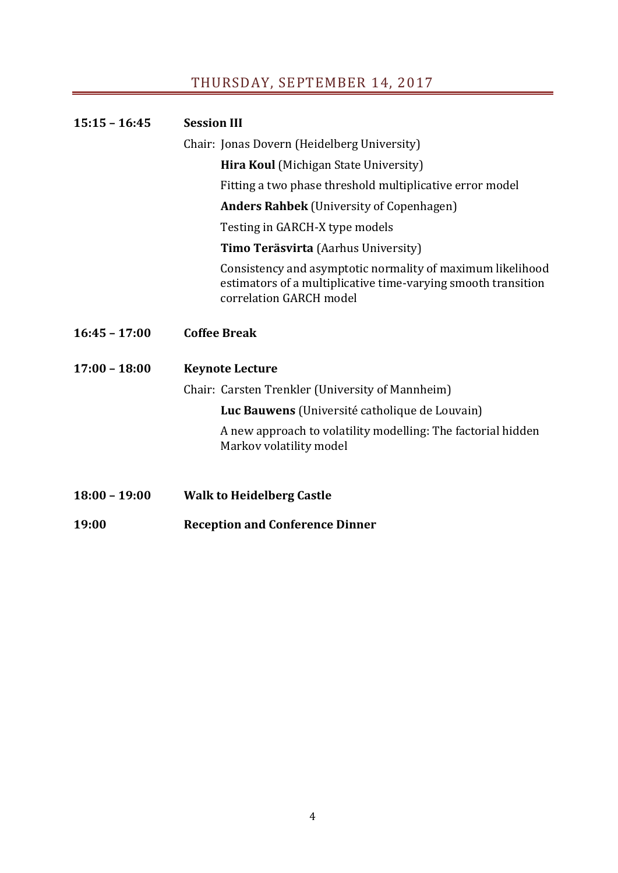# THURSDAY, SEPTEMBER 14, 2017

| $15:15 - 16:45$ | <b>Session III</b>                                                                                                                                     |
|-----------------|--------------------------------------------------------------------------------------------------------------------------------------------------------|
|                 | Chair: Jonas Dovern (Heidelberg University)                                                                                                            |
|                 | Hira Koul (Michigan State University)                                                                                                                  |
|                 | Fitting a two phase threshold multiplicative error model                                                                                               |
|                 | <b>Anders Rahbek</b> (University of Copenhagen)                                                                                                        |
|                 | Testing in GARCH-X type models                                                                                                                         |
|                 | Timo Teräsvirta (Aarhus University)                                                                                                                    |
|                 | Consistency and asymptotic normality of maximum likelihood<br>estimators of a multiplicative time-varying smooth transition<br>correlation GARCH model |
| $16:45 - 17:00$ | <b>Coffee Break</b>                                                                                                                                    |
| $17:00 - 18:00$ | <b>Keynote Lecture</b>                                                                                                                                 |
|                 | Chair: Carsten Trenkler (University of Mannheim)                                                                                                       |
|                 | Luc Bauwens (Université catholique de Louvain)                                                                                                         |
|                 | A new approach to volatility modelling: The factorial hidden<br>Markov volatility model                                                                |
|                 |                                                                                                                                                        |
| $18:00 - 19:00$ | <b>Walk to Heidelberg Castle</b>                                                                                                                       |
| 19:00           | <b>Reception and Conference Dinner</b>                                                                                                                 |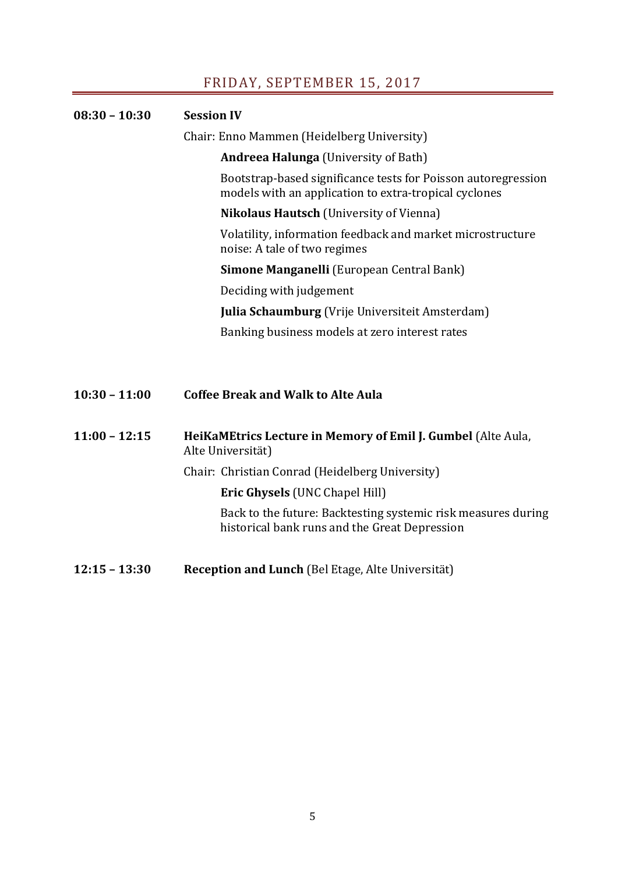## FRIDAY, SEPTEMBER 15, 2017

| $08:30 - 10:30$ | <b>Session IV</b>                                                                                                      |  |
|-----------------|------------------------------------------------------------------------------------------------------------------------|--|
|                 | Chair: Enno Mammen (Heidelberg University)                                                                             |  |
|                 | <b>Andreea Halunga</b> (University of Bath)                                                                            |  |
|                 | Bootstrap-based significance tests for Poisson autoregression<br>models with an application to extra-tropical cyclones |  |
|                 | <b>Nikolaus Hautsch</b> (University of Vienna)                                                                         |  |
|                 | Volatility, information feedback and market microstructure<br>noise: A tale of two regimes                             |  |
|                 | <b>Simone Manganelli</b> (European Central Bank)                                                                       |  |
|                 | Deciding with judgement                                                                                                |  |
|                 | <b>Julia Schaumburg</b> (Vrije Universiteit Amsterdam)                                                                 |  |
|                 | Banking business models at zero interest rates                                                                         |  |
|                 |                                                                                                                        |  |
| $10:30 - 11:00$ | <b>Coffee Break and Walk to Alte Aula</b>                                                                              |  |
| $11:00 - 12:15$ | HeiKaMEtrics Lecture in Memory of Emil J. Gumbel (Alte Aula,<br>Alte Universität)                                      |  |

Chair: Christian Conrad (Heidelberg University)

**Eric Ghysels** (UNC Chapel Hill)

Back to the future: Backtesting systemic risk measures during back to the runn of *zubilities* and the Great Depression

**12:15 – 13:30 Reception and Lunch** (Bel Etage, Alte Universität)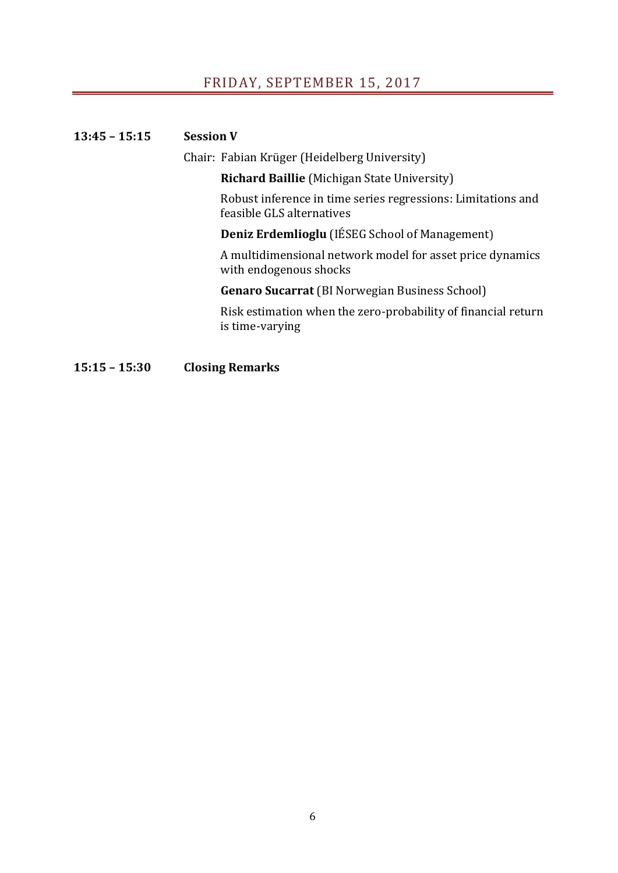## FRIDAY, SEPTEMBER 15, 2017

### **13:45 – 15:15 Session V**

Chair: Fabian Krüger (Heidelberg University)

**Richard Baillie** (Michigan State University)

Robust inference in time series regressions: Limitations and feasible GLS alternatives

**Deniz Erdemlioglu** (IÉSEG School of Management)

A multidimensional network model for asset price dynamics with endogenous shocks

**Genaro Sucarrat** (BI Norwegian Business School)

Risk estimation when the zero-probability of financial return is time-varying

**15:15 – 15:30 Closing Remarks**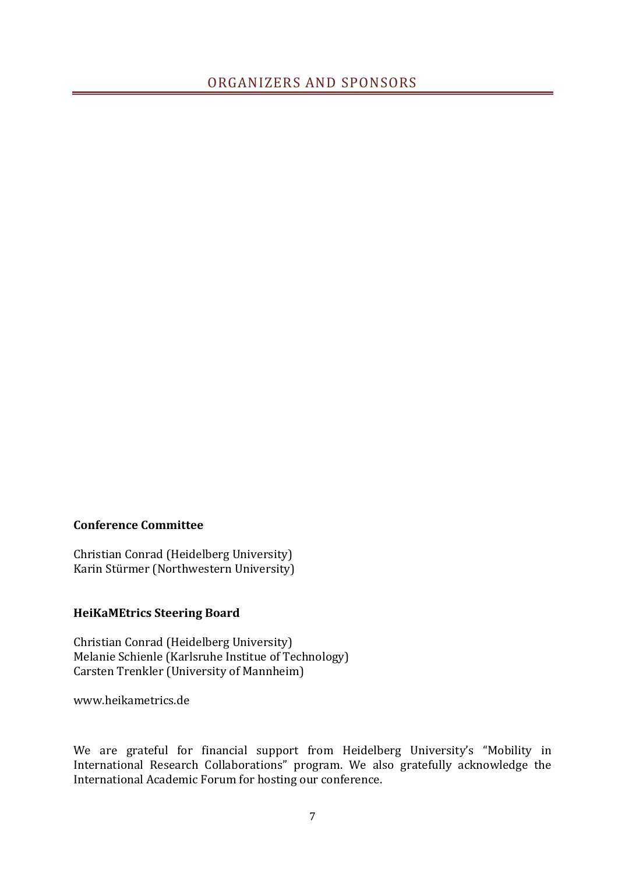### **Conference Committee**

Christian Conrad (Heidelberg University) Karin Stürmer (Northwestern University)

### **HeiKaMEtrics Steering Board**

Christian Conrad (Heidelberg University) Melanie Schienle (Karlsruhe Institue of Technology) Carsten Trenkler (University of Mannheim)

www.heikametrics.de 

We are grateful for financial support from Heidelberg University's "Mobility in International Research Collaborations" program. We also gratefully acknowledge the International Academic Forum for hosting our conference.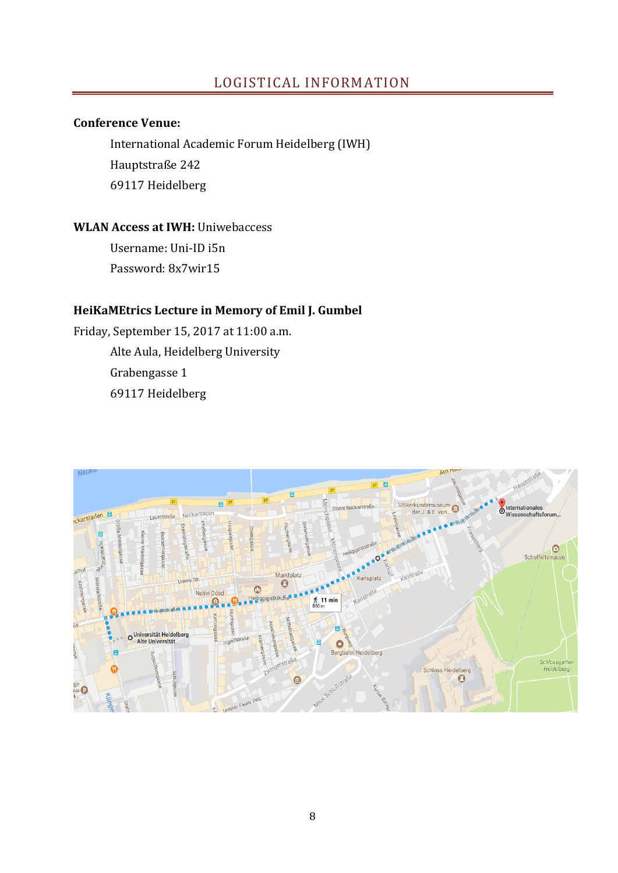### LOGISTICAL INFORMATION

### **Conference Venue:**

International Academic Forum Heidelberg (IWH) Hauptstraße 242 69117 Heidelberg 

### **WLAN Access at IWH:** Uniwebaccess

Username: Uni‐ID i5n Password: 8x7wir15 

### **HeiKaMEtrics Lecture in Memory of Emil J. Gumbel**

Friday, September 15, 2017 at 11:00 a.m. Alte Aula, Heidelberg University Grabengasse 1 69117 Heidelberg